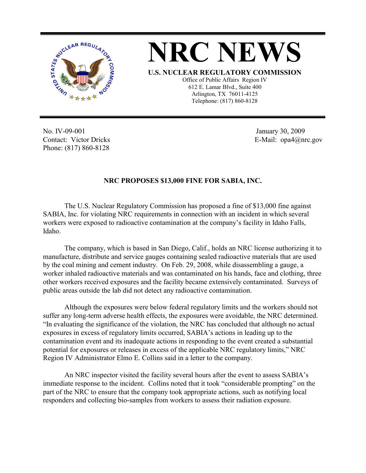

**NRC NEWS U.S. NUCLEAR REGULATORY COMMISSION** Office of Public Affairs Region IV 612 E. Lamar Blvd., Suite 400 Arlington, TX 76011-4125 Telephone: (817) 860-8128

No. IV-09-001 Contact: Victor Dricks Phone: (817) 860-8128

 January 30, 2009 E-Mail: opa4@nrc.gov

## **NRC PROPOSES \$13,000 FINE FOR SABIA, INC.**

The U.S. Nuclear Regulatory Commission has proposed a fine of \$13,000 fine against SABIA, Inc. for violating NRC requirements in connection with an incident in which several workers were exposed to radioactive contamination at the company's facility in Idaho Falls, Idaho.

The company, which is based in San Diego, Calif., holds an NRC license authorizing it to manufacture, distribute and service gauges containing sealed radioactive materials that are used by the coal mining and cement industry. On Feb. 29, 2008, while disassembling a gauge, a worker inhaled radioactive materials and was contaminated on his hands, face and clothing, three other workers received exposures and the facility became extensively contaminated. Surveys of public areas outside the lab did not detect any radioactive contamination.

Although the exposures were below federal regulatory limits and the workers should not suffer any long-term adverse health effects, the exposures were avoidable, the NRC determined. "In evaluating the significance of the violation, the NRC has concluded that although no actual exposures in excess of regulatory limits occurred, SABIA's actions in leading up to the contamination event and its inadequate actions in responding to the event created a substantial potential for exposures or releases in excess of the applicable NRC regulatory limits," NRC Region IV Administrator Elmo E. Collins said in a letter to the company.

An NRC inspector visited the facility several hours after the event to assess SABIA's immediate response to the incident. Collins noted that it took "considerable prompting" on the part of the NRC to ensure that the company took appropriate actions, such as notifying local responders and collecting bio-samples from workers to assess their radiation exposure.